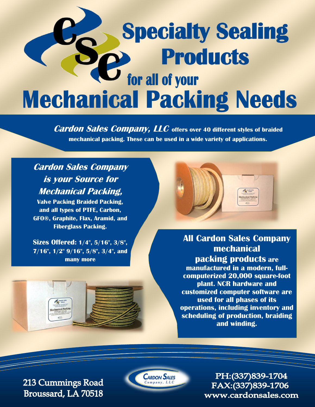## **Specialty Sealing Products Mechanical Packing Needs**

**Cardon Sales Company, LLC offers over 40 different styles of braided mechanical packing. These can be used in a wide variety of applications.**

## **Cardon Sales Company is your Source for Mechanical Packing,**

**Valve Packing Braided Packing, and all types of PTFE, Carbon, GFO®, Graphite, Flax, Aramid, and Fiberglass Packing.**

**Sizes Offered: 1/4", 5/16", 3/8", 7/16", 1/2" 9/16", 5/8", 3/4", and many more**

**All Cardon Sales Company mechanical packing products are manufactured in a modern, fullcomputerized 20,000 square-foot plant. NCR hardware and customized computer software are used for all phases of its operations, including inventory and scheduling of production, braiding and winding.** 

213 Cummings Road Broussard, LA 70518



PH: (337) 839-1704 FAX:(337)839-1706 www.cardonsales.com